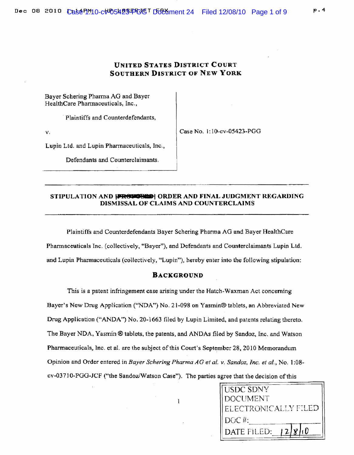# UNITED STATES DISTRICT COURT SOUTHERN DISTRICT OF NEW YORK

Bayer Scbering Pharma AG and Bayer HealthCare Pharmaceuticals, Inc.,

. Plaintiffs and Counterdefendants,

v.

Case No.1: lO-cv-05423-PGG

Lupin Ltd. and Lupin Pharmaceuticals, Inc.,

Defendants and Counterclaimants.

## STIPULATION AND **[PR6305629]** ORDER AND FINAL JUDGMENT REGARDING DISMISSAL OF CLAIMS AND COUNTERCLAIMS

Plaintiffs and Counterdefendants Bayer Schering Pbanna AG and Bayer HealthCare Pharmaceuticals Inc. (collectively, "Bayer"). and Defendants and Counterclaimants Lupin Ltd. and Lupin Pharmaceuticals (collectively, "Lupin"), hereby enter into the following stipulation:

#### BACKGROUND

This is a patent infringement case arising under the Hatch-Waxman Act concerning Bayer's New Drug Application ("NDA") No\_ 21-098 on Yasrnin® tablets, an Abbreviated New Drug Application ("ANDA") No. 20-1663 filed by Lupin Limited, and patents relating thereto. The Bayer NDA, Yasmin ® tablets, the patents, and ANDAs filed by Sandoz, Inc. and Watson Pharmaceuticals, Inc. et al. are the subject of this Court's September 28, 2010 Memorandum Opinion and Order entered in *Bayer Schering Pharma AGet al. v. Sandoz, Inc. et ai.,* No. 1 :08~ cv-03710-PGG-JCF ("the Sandoz/Watson Case"). The parties agree that the decision of this



 $\mathbf{1}$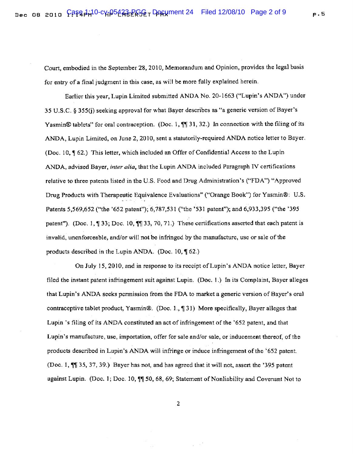Court, embodied in the September 28,2010, Memorandum and Opinion, provides the legal basis for entry of a final judgment in this case, as will be more fully explained herein.

Earlier this year, Lupin Limited submitted ANDA No. 20-1663 ("Lupin's ANDA") under 35 U.S.C. § 355(j) seeking approval for what Bayer describes as "a generic version of Bayer's Yasmin® tablets" for oral contraception. (Doc. 1,  $\P$  31, 32.) In connection with the filing of its ANDA, Lupin Limited, on June 2, 2010, sent a statutorily-required ANDA notice letter to Bayer. (Doc. 10,  $\P$  62.) This letter, which included an Offer of Confidential Access to the Lupin ANDA, advised Bayer, *inter alia,* that the Lupin ANDA included Paragraph IV certifications relative to three patents listed in the U.S. Food and Drug Administration's ("FDA") "Approved Drug Products with Therapeutic Equivalence Evaluations" ("Orange Book") for Yasmin®: U.S. Patents 5,569,652 ("the '652 patent"); 6,787,531 ("the '531 patent"); and 6,933,395 ("the '395 patent"). (Doc. 1,  $\P$  33; Doc. 10,  $\P$  $\P$  33, 70, 71.) These certifications asserted that each patent is invalid, unenforceable, and/or will not be infringed by the manufacture, use or sale ofthe products described in the Lupin ANDA. (Doc. 10,  $\sqrt{62}$ .)

On July 15,2010, and in response to its receipt ofLupin's ANDA notice letter, Bayer filed the instant patent infringement suit against Lupin. (Doc. I.) In its Complaint, Bayer alleges that Lupin's ANDA seeks permission from the FDA to market a generic version of Bayer's oral contraceptive tablet product, Yasmin®. (Doc. 1.,  $\sqrt{31}$ ) More specifically, Bayer alleges that Lupin's filing of its ANDA constituted an act of infringement of the '652 patent, and that Lupin's manufacture, use, importation, offer for sale and/or sale, or inducement thereof, of the products described in Lupin's ANDA will infringe or induce infringement of the '652 patent. (Doc. I,  $\P$ ] 35, 37, 39.) Bayer has not, and has agreed that it will not, assert the '395 patent against Lupin. (Doc. 1; Doc. 10,  $\sqrt{\%}$  50, 68, 69; Statement of Nonliability and Covenant Not to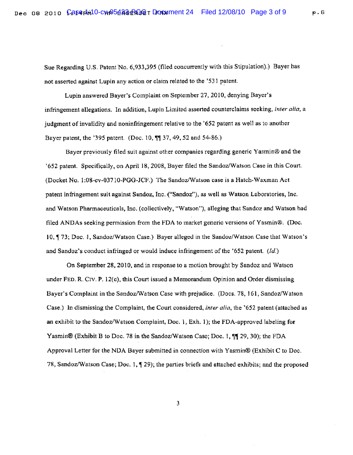Sue Regarding U.S. Patent No. 6,933,395 (filed concurrently with this Stipulation).) Bayer has not asserted against Lupin any action or claim related to the '531 patent.

Lupin answered Bayer's Complaint on September 27, 2010, denying Bayer's infringement allegations. In addition, Lupin Limited asserted counterclaims seeking, *inter alia,* a judgment of invalidity and noninfringement relative to the '652 patent as well as to another Bayer patent, the '395 patent. (Doc. 10,  $\sqrt{\frac{10}{13}}$  37, 49, 52 and 54-86.)

Bayer previously filed suit against other companies regarding generic Yasmin® and the '652 patent. Specifically, on April 18, 2008, Bayer filed the Sandoz/Watson Case in this Court. (Docket No. 1 ;08-cv-0371O-PGG-JeF.) The Sandoz/Watson case is a Hatch-Waxman Act patent infringement suit against Sandoz, Inc. ("Sandoz"), as well as Watson Laboratories, Inc. and Watson Pharmaceuticals, Inc. (collectively, "Watson"), alleging that Sandoz and Watson had filed ANDAs seeking permission from the FDA to market generic versions of Yasmin®. (Doc. 10, ¶ 73; Doc. 1, Sandoz/Watson Case.) Bayer alleged in the Sandoz/Watson Case that Watson's and Sandoz's conduct infringed or would induce infringement of the '652 patent. (Id.)

On September 28, 2010, and in response to a motion brought by Sandoz and Watson under FED. R. Cry. P. 12(c), this Court issued a Memorandum Opinion and Order dismissing Bayer's Complaint in the Sandoz/Watson Case with prejudice. (Docs. 78, 161, Sandoz/Watson Case.) In dismissing the Complaint, the Court considered, *inter alia.* the '652 patent (attached as an exhibit to the Sandoz/Watson Complaint, Doc. 1, Exh. 1); the FDA-approved labeling for Yasmin® (Exhibit B to Doc. 78 in the Sandoz/Watson Case; Doc. 1, 11 29, 30); the FDA Approval Letter for the NDA Bayer submitted in connection with Yasmin® (Exhibit C to Doc. 78, Sandoz/Watson Case; Doc. 1,  $\parallel$  29); the parties briefs and attached exhibits; and the proposed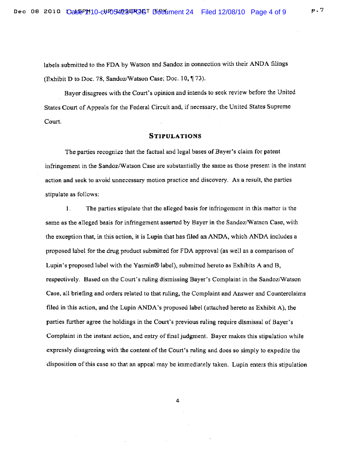labels submitted to the FDA by Watson and Sandoz in connection with their ANDA filings (Exhibit D to Doc. 78, Sandoz/Watson Case; Doc. 10, 173).

Bayer disagrees with the Court's opinion and intends to seek review before the United States Court of Appeals for the Federal Circuit and, if necessary. the United States Supreme Court.

### **STIPULATIONS**

The parties recognize that the factual and legal bases of Bayer's claim for patent infringement in the Sandoz/Watson Case are substantially the same as those present in the instant action and seek to avoid unnecessary motion practice and discovery. As a result, the parties stipulate as follows:

] . The parties stipulate that the alleged basis for infringement in this matter is the same as the alleged basis for infringement asserted by Bayer in the Sandoz/Watson Case, with the exception that, in this action, it is Lupin that has filed an ANDA, which ANDA includes a proposed label for the drug product submitted for FDA approval (as well as a comparison of Lupin's proposed label with the Yasmin® label), submitted hereto as Exhibits A and B. respectively. Based on the Court's ruling dismissing Bayer's Complaint in the Sandoz/Watson Case, all briefing and orders related to that ruling, the Complaint and Answer and Counterclaims filed in this action, and the Lupin ANDA's proposed label (attached hereto as Exhibit A), the parties further agree the holdings in the Court's previous ruling require dismissal of Bayer's Complaint in the instant action, and entry of final judgment. Bayer makes this stipulation while expressly disagreeing with the content of the Court's ruling and does so simply to expedite the disposition ofthis case so that an appeal may be immediately taken. Lupin enters this stipulation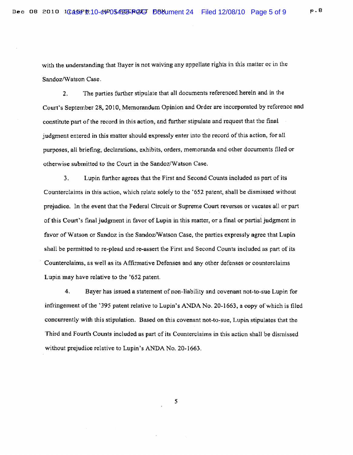with the understanding that Bayer is not waiving any appellate rights in this matter or in the Sandoz/Watson Case.

2. The parties further stipulate that all documents referenced herein and in the Court's September 28, 2010, Memorandum Opinion and Order are incorporated by reference and constitute part of the record in this action, and further stipulate and request that the final judgment entered in this matter should expressly enter into the record of this action, for all purposes, all briefing, declarations. exhibits, orders, memoranda and other documents filed or otherwise submitted to the Court in the Sandoz/Watson Case.

3. Lupin further agrees that the First and Second Counts included as part of its Counterclaims in this action, which relate solely to the '652 patent, shall be dismissed without prejudice. In the event that the Federal Circuit or Supreme Coun reverses or vacates aU or part of this Court's final judgment in favor of Lupin in this matter, or a final or partial judgment in favor of Watson or Sandoz in the Sandoz/Watson Case, the parties expressly agree that Lupin shall be pennitted to re-plead and re-assert the First and Second Counts included as part of its Counterclaims, as well as its Affirmative Defenses and any other defenses or counterclaims Lupin may have relative to the '652 patent.

4, Bayer has issued a statement of non-liability and covenant not-to-sue Lupin for infringement of the '395 patent relative to Lupin's ANDA No. 20-1663, a copy of which is filed concurrently with this stipulation. Based on this covenant not-to-sue, Lupin stipulates that the Third and Fourth Counts included as part of its Counterclaims in this action shall be dismissed without prejudice relative to Lupin's ANDA No. 20-1663.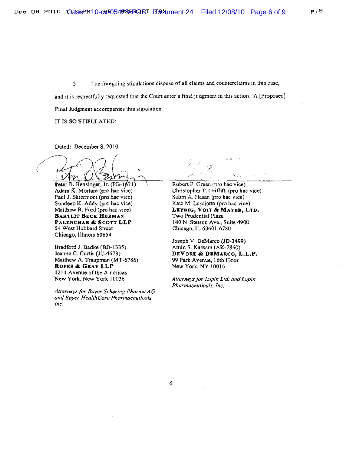5 The foregoing stipuhttions dispose of all claims. and counterclaims in this case, and it is respectfully requested that the Court enter a final judgment in this action.  $A$  [Proposed] Final Judgment accompanies this stipulation.

IT IS SO STIPULATED:

Dated: December 8, 20 J0

l

Peter B. Bensinger, Jr. (PB-1671) Adam K. Mortara (pro hac vice) Paul J. Skiermont (pro hac vice) Sundeep K. Addy (pro hac vice) Matthew R. Ford (pro hac vice) BARTLlT BECK BERMAN PALENCHAR & SCOTT LLP 54 West Hubbard Street Chicago, Illinois 60654

Bradford J. Badke (BB-1335) Jeanne C. Curtis (JC-4673) Matthew A. Traupman (MT-6786) ROPES & GRAY LLP 1211 Avenue ofthe Americas New York. New York 10036

Attorneys for Bayer Schering Pharma AG and Bayer HealthCare Pharmaceuticals *Inc.* 

/ ,.' Robert F. Green (pro hac vice)

Christopher T. Griffith (pro hac vice) Salim A. Hasan (pro hac vice) Kate M Lcs¢iotto (pro hac vice) LEYDIG, VOIT & MAYER, LTD. Two Prudential Plaza 180 N. Stetson Ave., Suite 4900 Chicago, IL 60601-6780

Joseph V. DeMarco (1D-3499) Amin S. Kassam (AK-7860) DEVORE &: DBMARCO, L.L.P. 99 Park Avenue. 16th Floor New York, NY 10016

*Attorneys.!o,. Lupin L,d. and Lupin*  Pharmaceuticals, *Inc.*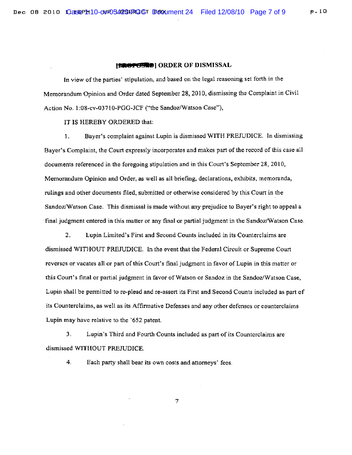#### **1\_8IoB"1 ORDER OF DISMISSAL**

In view ofthe parties' stipulation, and based on the legal reasoning set forth in the Memorandum Opinion and Order dated September 28, 2010, dismissing the Complaint in Civil Action No.1 :08-cv-03710-PGG-JCF ("the Sandoz/Watson Case"),

IT IS HEREBY ORDERED that:

1. Bayer's complaint against Lupin is dismissed WITH PREJUDICE. In dismissing Bayer's Complaint, the Court expressly incorporates and makes part of the record of this case all documents referenced in the foregoing stipulation and in this Court's September 28,2010, Memorandum Opinion and Order, as well as all briefing, declarations, exhibits, memoranda, rulings and other documents filed, submitted or otherwise considered by this Court in the Sandoz/Watson Case. This dismissal is made without any prejudice to Bayer's right to appeal a final judgment entered in this matter or any final or partial judgment in the Sandoz/Watson Case.

2. Lupin Limited's First and Second Counts included in its Counterclaims are. dismissed WITHOUT PREJUDICE. In the event that the Federal Circuit or Supreme Court reverses or vacates all or part of this Court's final judgment in favor of Lupin in this matter or this Court's final or partial judgment in favor of Watson or Sandoz in the Sandoz/Watson Case, Lupin shall be permitted to re-plead and re-assert its First and Second Counts included as part of its Counterclaims, as well as its Affinnative Defenses and any other defenses or counterclaims Lupin may have relative to the '652 patent.

3. Lupin's Third and Fourth Counts included as part of its Counterclaims are dismissed WITHOUT PREJUDICE.

4. Each party shall bear its own costs and attorneys' fees.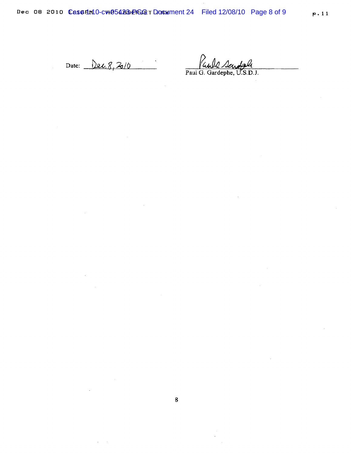Date: <u>Dec. 8, 2010</u>

 $\sim$ 

 $\mathcal{A}(\mathcal{A})$  and  $\mathcal{A}(\mathcal{A})$ 

Paul G. Gardephe, U.S.D.J.